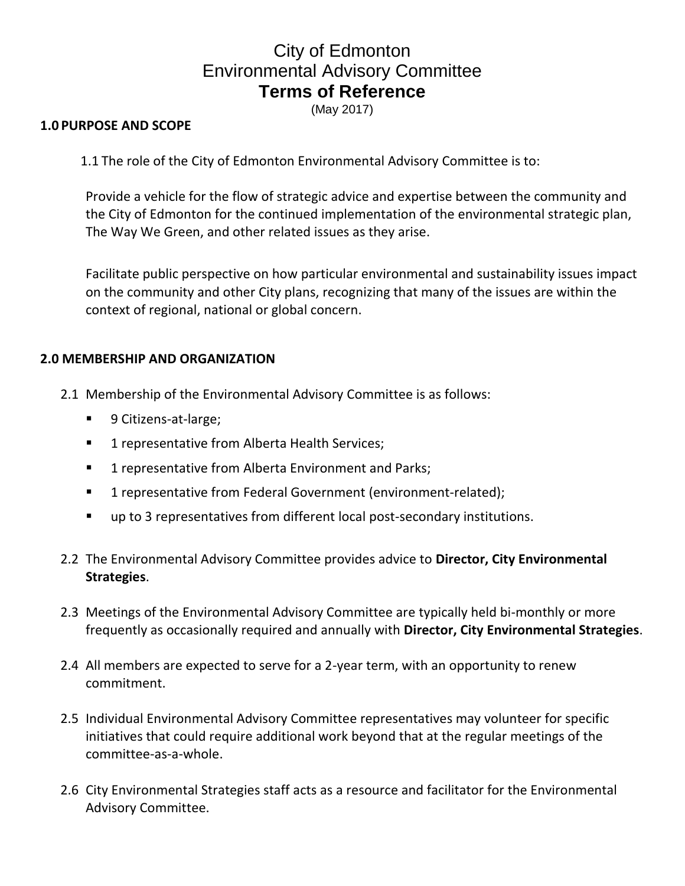## City of Edmonton Environmental Advisory Committee **Terms of Reference**

(May 2017)

## **1.0 PURPOSE AND SCOPE**

1.1 The role of the City of Edmonton Environmental Advisory Committee is to:

Provide a vehicle for the flow of strategic advice and expertise between the community and the City of Edmonton for the continued implementation of the environmental strategic plan, The Way We Green, and other related issues as they arise.

Facilitate public perspective on how particular environmental and sustainability issues impact on the community and other City plans, recognizing that many of the issues are within the context of regional, national or global concern.

## **2.0 MEMBERSHIP AND ORGANIZATION**

- 2.1 Membership of the Environmental Advisory Committee is as follows:
	- 9 Citizens-at-large;
	- **1** representative from Alberta Health Services;
	- **1** representative from Alberta Environment and Parks;
	- 1 representative from Federal Government (environment-related);
	- up to 3 representatives from different local post-secondary institutions.
- 2.2 The Environmental Advisory Committee provides advice to **Director, City Environmental Strategies**.
- 2.3 Meetings of the Environmental Advisory Committee are typically held bi-monthly or more frequently as occasionally required and annually with **Director, City Environmental Strategies**.
- 2.4 All members are expected to serve for a 2-year term, with an opportunity to renew commitment.
- 2.5 Individual Environmental Advisory Committee representatives may volunteer for specific initiatives that could require additional work beyond that at the regular meetings of the committee-as-a-whole.
- 2.6 City Environmental Strategies staff acts as a resource and facilitator for the Environmental Advisory Committee.